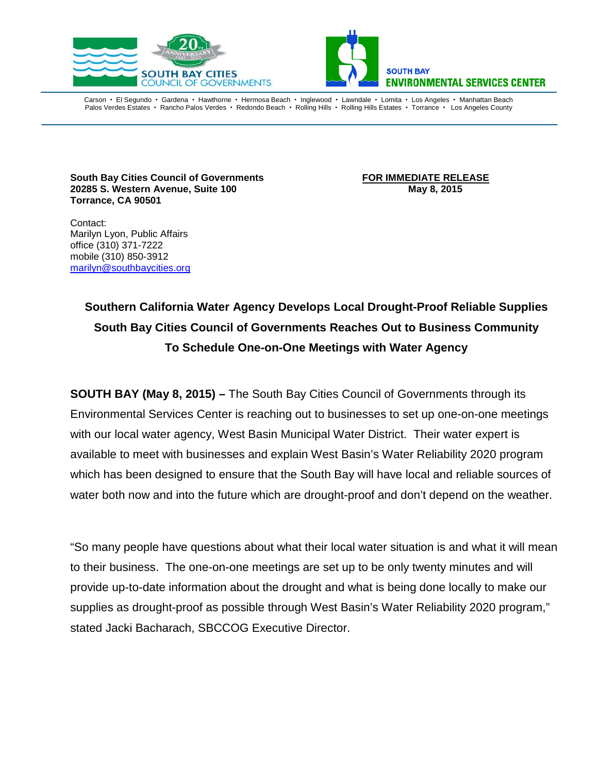



Carson • El Segundo • Gardena • Hawthorne • Hermosa Beach • Inglewood • Lawndale • Lomita • Los Angeles • Manhattan Beach Palos Verdes Estates · Rancho Palos Verdes · Redondo Beach · Rolling Hills · Rolling Hills Estates · Torrance · Los Angeles County

**South Bay Cities Council of Governments**<br>20285 S. Western Avenue, Suite 100 **FOR IMMEDIATE RELEASE**<br>May 8, 2015 **20285 S. Western Avenue, Suite 100 Torrance, CA 90501**

Contact: Marilyn Lyon, Public Affairs office (310) 371-7222 mobile (310) 850-3912 [marilyn@southbaycities.org](mailto:marilyn@southbaycities.org)

> **Southern California Water Agency Develops Local Drought-Proof Reliable Supplies South Bay Cities Council of Governments Reaches Out to Business Community To Schedule One-on-One Meetings with Water Agency**

**SOUTH BAY (May 8, 2015) –** The South Bay Cities Council of Governments through its Environmental Services Center is reaching out to businesses to set up one-on-one meetings with our local water agency, West Basin Municipal Water District. Their water expert is available to meet with businesses and explain West Basin's Water Reliability 2020 program which has been designed to ensure that the South Bay will have local and reliable sources of water both now and into the future which are drought-proof and don't depend on the weather.

"So many people have questions about what their local water situation is and what it will mean to their business. The one-on-one meetings are set up to be only twenty minutes and will provide up-to-date information about the drought and what is being done locally to make our supplies as drought-proof as possible through West Basin's Water Reliability 2020 program," stated Jacki Bacharach, SBCCOG Executive Director.